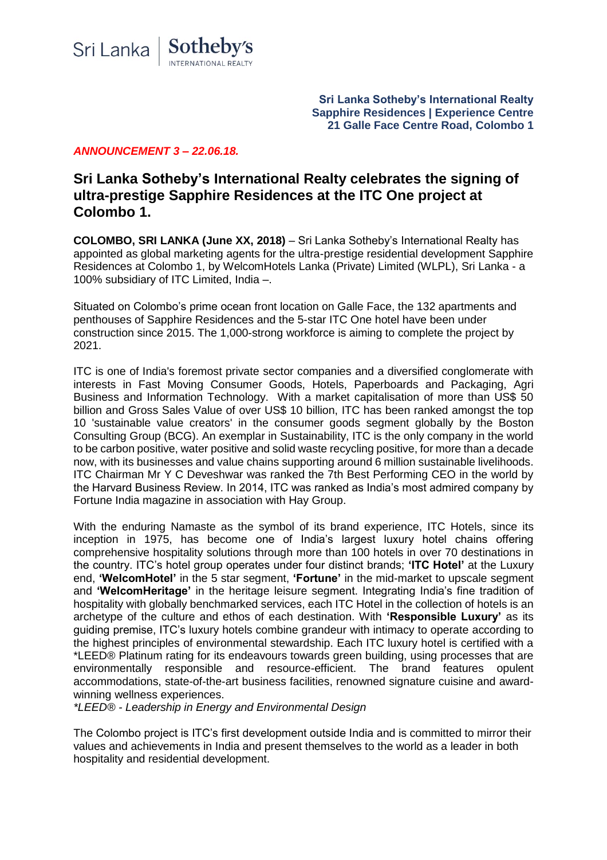

**Sri Lanka Sotheby's International Realty Sapphire Residences | Experience Centre 21 Galle Face Centre Road, Colombo 1**

## *ANNOUNCEMENT 3 – 22.06.18.*

# **Sri Lanka Sotheby's International Realty celebrates the signing of ultra-prestige Sapphire Residences at the ITC One project at Colombo 1.**

**COLOMBO, SRI LANKA (June XX, 2018)** – Sri Lanka Sotheby's International Realty has appointed as global marketing agents for the ultra-prestige residential development Sapphire Residences at Colombo 1, by WelcomHotels Lanka (Private) Limited (WLPL), Sri Lanka - a 100% subsidiary of ITC Limited, India –.

Situated on Colombo's prime ocean front location on Galle Face, the 132 apartments and penthouses of Sapphire Residences and the 5-star ITC One hotel have been under construction since 2015. The 1,000-strong workforce is aiming to complete the project by 2021.

ITC is one of India's foremost private sector companies and a diversified conglomerate with interests in Fast Moving Consumer Goods, Hotels, Paperboards and Packaging, Agri Business and Information Technology. With a market capitalisation of more than US\$ 50 billion and Gross Sales Value of over US\$ 10 billion, ITC has been ranked amongst the top 10 'sustainable value creators' in the consumer goods segment globally by the Boston Consulting Group (BCG). An exemplar in Sustainability, ITC is the only company in the world to be carbon positive, water positive and solid waste recycling positive, for more than a decade now, with its businesses and value chains supporting around 6 million sustainable livelihoods. ITC Chairman Mr Y C Deveshwar was ranked the 7th Best Performing CEO in the world by the Harvard Business Review. In 2014, ITC was ranked as India's most admired company by Fortune India magazine in association with Hay Group.

With the enduring Namaste as the symbol of its brand experience, ITC Hotels, since its inception in 1975, has become one of India's largest luxury hotel chains offering comprehensive hospitality solutions through more than 100 hotels in over 70 destinations in the country. ITC's hotel group operates under four distinct brands; **'ITC Hotel'** at the Luxury end, **'WelcomHotel'** in the 5 star segment, **'Fortune'** in the mid-market to upscale segment and **'WelcomHeritage'** in the heritage leisure segment. Integrating India's fine tradition of hospitality with globally benchmarked services, each ITC Hotel in the collection of hotels is an archetype of the culture and ethos of each destination. With **'Responsible Luxury'** as its guiding premise, ITC's luxury hotels combine grandeur with intimacy to operate according to the highest principles of environmental stewardship. Each ITC luxury hotel is certified with a \*LEED® Platinum rating for its endeavours towards green building, using processes that are environmentally responsible and resource-efficient. The brand features opulent accommodations, state-of-the-art business facilities, renowned signature cuisine and awardwinning wellness experiences.

*\*LEED® - Leadership in Energy and Environmental Design*

The Colombo project is ITC's first development outside India and is committed to mirror their values and achievements in India and present themselves to the world as a leader in both hospitality and residential development.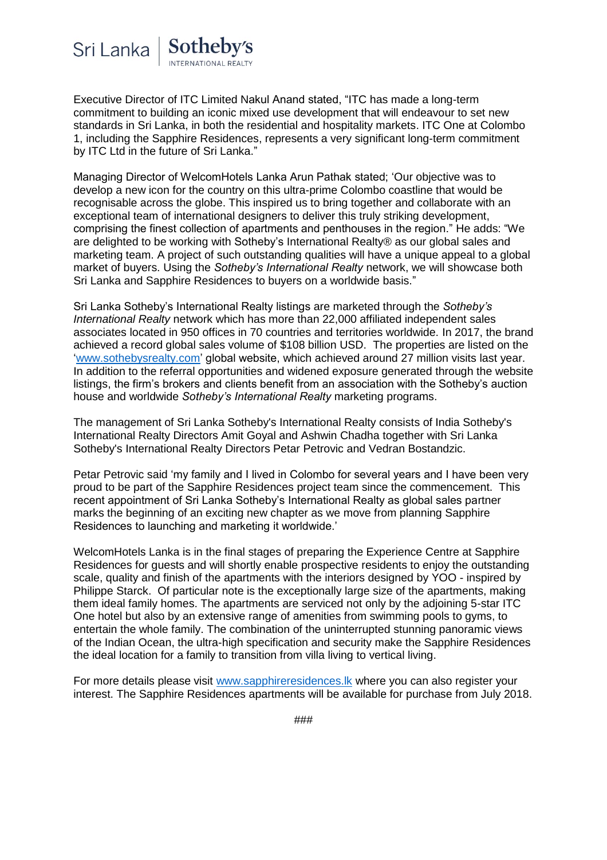

Executive Director of ITC Limited Nakul Anand stated, "ITC has made a long-term commitment to building an iconic mixed use development that will endeavour to set new standards in Sri Lanka, in both the residential and hospitality markets. ITC One at Colombo 1, including the Sapphire Residences, represents a very significant long-term commitment by ITC Ltd in the future of Sri Lanka."

Managing Director of WelcomHotels Lanka Arun Pathak stated; 'Our objective was to develop a new icon for the country on this ultra-prime Colombo coastline that would be recognisable across the globe. This inspired us to bring together and collaborate with an exceptional team of international designers to deliver this truly striking development, comprising the finest collection of apartments and penthouses in the region." He adds: "We are delighted to be working with Sotheby's International Realty® as our global sales and marketing team. A project of such outstanding qualities will have a unique appeal to a global market of buyers. Using the *Sotheby's International Realty* network, we will showcase both Sri Lanka and Sapphire Residences to buyers on a worldwide basis."

Sri Lanka Sotheby's International Realty listings are marketed through the *Sotheby's International Realty* network which has more than 22,000 affiliated independent sales associates located in 950 offices in 70 countries and territories worldwide. In 2017, the brand achieved a record global sales volume of \$108 billion USD. The properties are listed on the ['www.sothebysrealty.com'](http://www.sothebysrealty.com/) global website, which achieved around 27 million visits last year. In addition to the referral opportunities and widened exposure generated through the website listings, the firm's brokers and clients benefit from an association with the Sotheby's auction house and worldwide *Sotheby's International Realty* marketing programs.

The management of Sri Lanka Sotheby's International Realty consists of India Sotheby's International Realty Directors Amit Goyal and Ashwin Chadha together with Sri Lanka Sotheby's International Realty Directors Petar Petrovic and Vedran Bostandzic.

Petar Petrovic said 'my family and I lived in Colombo for several years and I have been very proud to be part of the Sapphire Residences project team since the commencement. This recent appointment of Sri Lanka Sotheby's International Realty as global sales partner marks the beginning of an exciting new chapter as we move from planning Sapphire Residences to launching and marketing it worldwide.'

WelcomHotels Lanka is in the final stages of preparing the Experience Centre at Sapphire Residences for guests and will shortly enable prospective residents to enjoy the outstanding scale, quality and finish of the apartments with the interiors designed by YOO - inspired by Philippe Starck. Of particular note is the exceptionally large size of the apartments, making them ideal family homes. The apartments are serviced not only by the adjoining 5-star ITC One hotel but also by an extensive range of amenities from swimming pools to gyms, to entertain the whole family. The combination of the uninterrupted stunning panoramic views of the Indian Ocean, the ultra-high specification and security make the Sapphire Residences the ideal location for a family to transition from villa living to vertical living.

For more details please visit [www.sapphireresidences.lk](http://www.sapphireresidences.lk/) where you can also register your interest. The Sapphire Residences apartments will be available for purchase from July 2018.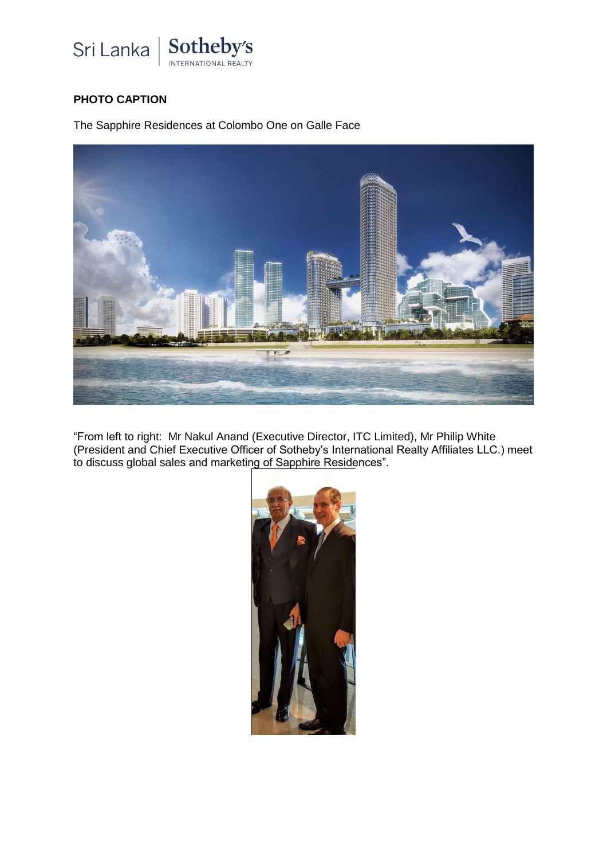

## **PHOTO CAPTION**

The Sapphire Residences at Colombo One on Galle Face



"From left to right: Mr Nakul Anand (Executive Director, ITC Limited), Mr Philip White (President and Chief Executive Officer of Sotheby's International Realty Affiliates LLC.) meet to discuss global sales and marketing of Sapphire Residences".

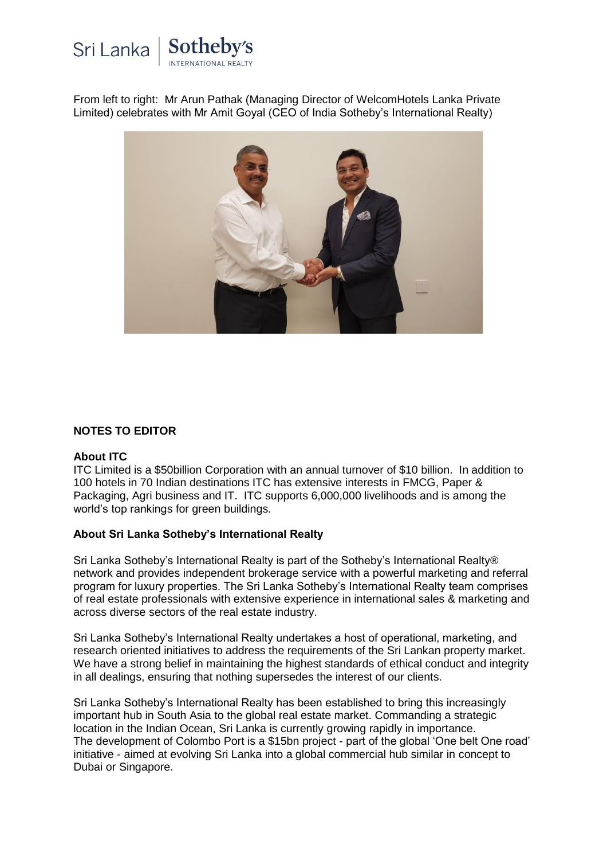

From left to right: Mr Arun Pathak (Managing Director of WelcomHotels Lanka Private Limited) celebrates with Mr Amit Goyal (CEO of India Sotheby's International Realty)



## **NOTES TO EDITOR**

#### **About ITC**

ITC Limited is a \$50billion Corporation with an annual turnover of \$10 billion. In addition to 100 hotels in 70 Indian destinations ITC has extensive interests in FMCG, Paper & Packaging, Agri business and IT. ITC supports 6,000,000 livelihoods and is among the world's top rankings for green buildings.

## **About Sri Lanka Sotheby's International Realty**

Sri Lanka Sotheby's International Realty is part of the Sotheby's International Realty® network and provides independent brokerage service with a powerful marketing and referral program for luxury properties. The Sri Lanka Sotheby's International Realty team comprises of real estate professionals with extensive experience in international sales & marketing and across diverse sectors of the real estate industry.

Sri Lanka Sotheby's International Realty undertakes a host of operational, marketing, and research oriented initiatives to address the requirements of the Sri Lankan property market. We have a strong belief in maintaining the highest standards of ethical conduct and integrity in all dealings, ensuring that nothing supersedes the interest of our clients.

Sri Lanka Sotheby's International Realty has been established to bring this increasingly important hub in South Asia to the global real estate market. Commanding a strategic location in the Indian Ocean, Sri Lanka is currently growing rapidly in importance. The development of Colombo Port is a \$15bn project - part of the global 'One belt One road' initiative - aimed at evolving Sri Lanka into a global commercial hub similar in concept to Dubai or Singapore.